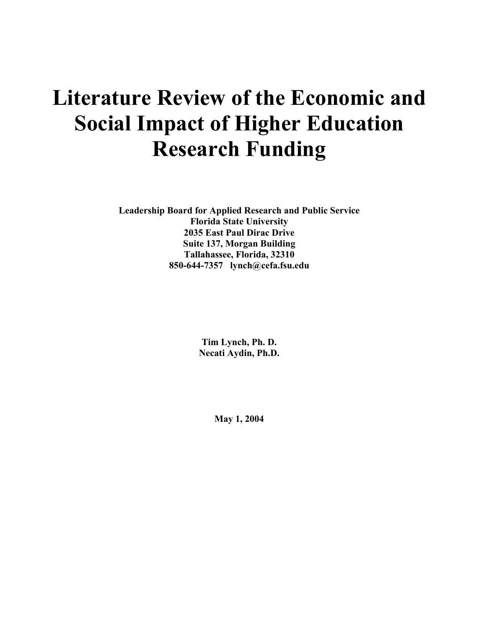# **Literature Review of the Economic and Social Impact of Higher Education Research Funding**

**Leadership Board for Applied Research and Public Service Florida State University 2035 East Paul Dirac Drive Suite 137, Morgan Building Tallahassee, Florida, 32310 850-644-7357 lynch@cefa.fsu.edu** 

> **Tim Lynch, Ph. D. Necati Aydin, Ph.D.**

> > **May 1, 2004**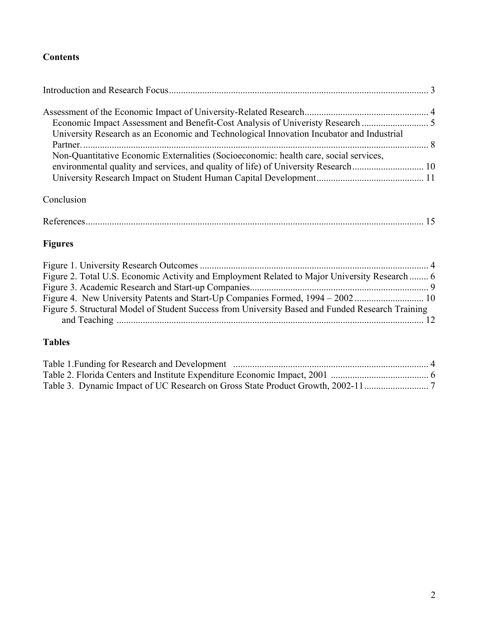# **Contents**

| University Research as an Economic and Technological Innovation Incubator and Industrial |  |
|------------------------------------------------------------------------------------------|--|
|                                                                                          |  |
| Non-Quantitative Economic Externalities (Socioeconomic: health care, social services,    |  |
|                                                                                          |  |

# Conclusion

|--|

# **Figures**

| Figure 2. Total U.S. Economic Activity and Employment Related to Major University Research  6    |  |
|--------------------------------------------------------------------------------------------------|--|
|                                                                                                  |  |
|                                                                                                  |  |
| Figure 5. Structural Model of Student Success from University Based and Funded Research Training |  |
|                                                                                                  |  |
|                                                                                                  |  |

# **Tables**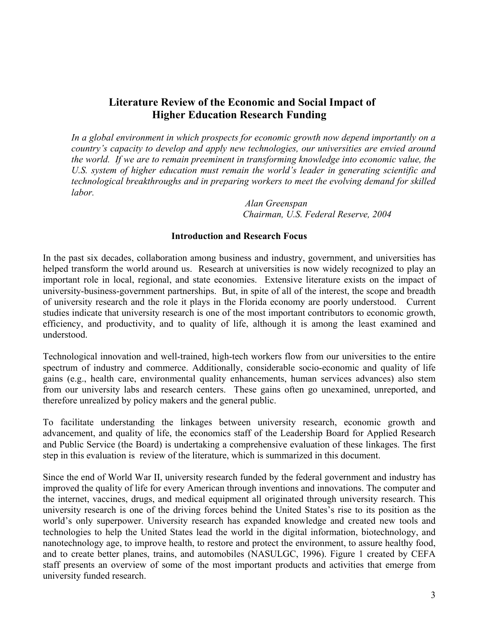# <span id="page-2-0"></span>**Literature Review of the Economic and Social Impact of Higher Education Research Funding**

In a global environment in which prospects for economic growth now depend importantly on a *country's capacity to develop and apply new technologies, our universities are envied around the world. If we are to remain preeminent in transforming knowledge into economic value, the U.S. system of higher education must remain the world's leader in generating scientific and technological breakthroughs and in preparing workers to meet the evolving demand for skilled labor.* 

> *Alan Greenspan Chairman, U.S. Federal Reserve, 2004*

#### **Introduction and Research Focus**

In the past six decades, collaboration among business and industry, government, and universities has helped transform the world around us. Research at universities is now widely recognized to play an important role in local, regional, and state economies. Extensive literature exists on the impact of university-business-government partnerships. But, in spite of all of the interest, the scope and breadth of university research and the role it plays in the Florida economy are poorly understood. Current studies indicate that university research is one of the most important contributors to economic growth, efficiency, and productivity, and to quality of life, although it is among the least examined and understood.

Technological innovation and well-trained, high-tech workers flow from our universities to the entire spectrum of industry and commerce. Additionally, considerable socio-economic and quality of life gains (e.g., health care, environmental quality enhancements, human services advances) also stem from our university labs and research centers. These gains often go unexamined, unreported, and therefore unrealized by policy makers and the general public.

To facilitate understanding the linkages between university research, economic growth and advancement, and quality of life, the economics staff of the Leadership Board for Applied Research and Public Service (the Board) is undertaking a comprehensive evaluation of these linkages. The first step in this evaluation is review of the literature, which is summarized in this document.

Since the end of World War II, university research funded by the federal government and industry has improved the quality of life for every American through inventions and innovations. The computer and the internet, vaccines, drugs, and medical equipment all originated through university research. This university research is one of the driving forces behind the United States's rise to its position as the world's only superpower. University research has expanded knowledge and created new tools and technologies to help the United States lead the world in the digital information, biotechnology, and nanotechnology age, to improve health, to restore and protect the environment, to assure healthy food, and to create better planes, trains, and automobiles (NASULGC, 1996). Figure 1 created by CEFA staff presents an overview of some of the most important products and activities that emerge from university funded research.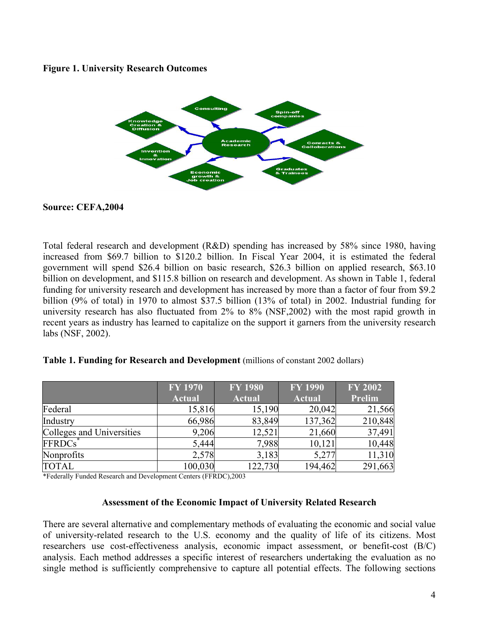#### <span id="page-3-0"></span>**Figure 1. University Research Outcomes**



#### **Source: CEFA,2004**

Total federal research and development (R&D) spending has increased by 58% since 1980, having increased from \$69.7 billion to \$120.2 billion. In Fiscal Year 2004, it is estimated the federal government will spend \$26.4 billion on basic research, \$26.3 billion on applied research, \$63.10 billion on development, and \$115.8 billion on research and development. As shown in Table 1, federal funding for university research and development has increased by more than a factor of four from \$9.2 billion (9% of total) in 1970 to almost \$37.5 billion (13% of total) in 2002. Industrial funding for university research has also fluctuated from 2% to 8% (NSF,2002) with the most rapid growth in recent years as industry has learned to capitalize on the support it garners from the university research labs (NSF, 2002).

|                           | <b>FY 1970</b> | <b>FY 1980</b> | <b>FY 1990</b> | <b>FY 2002</b> |
|---------------------------|----------------|----------------|----------------|----------------|
|                           | <b>Actual</b>  | <b>Actual</b>  | <b>Actual</b>  | Prelim         |
| Federal                   | 15,816         | 15,190         | 20,042         | 21,566         |
| Industry                  | 66,986         | 83,849         | 137,362        | 210,848        |
| Colleges and Universities | 9,206          | 12,521         | 21,660         | 37,491         |
| FFRDCs <sup>*</sup>       | 5,444          | 7,988          | 10,121         | 10,448         |
| Nonprofits                | 2,578          | 3,183          | 5,277          | 11,310         |
| <b>TOTAL</b>              | 100,030        | 122,730        | 194,462        | 291,663        |

#### **Table 1. Funding for Research and Development** (millions of constant 2002 dollars)

\*Federally Funded Research and Development Centers (FFRDC),2003

#### **Assessment of the Economic Impact of University Related Research**

There are several alternative and complementary methods of evaluating the economic and social value of university-related research to the U.S. economy and the quality of life of its citizens. Most researchers use cost-effectiveness analysis, economic impact assessment, or benefit-cost (B/C) analysis. Each method addresses a specific interest of researchers undertaking the evaluation as no single method is sufficiently comprehensive to capture all potential effects. The following sections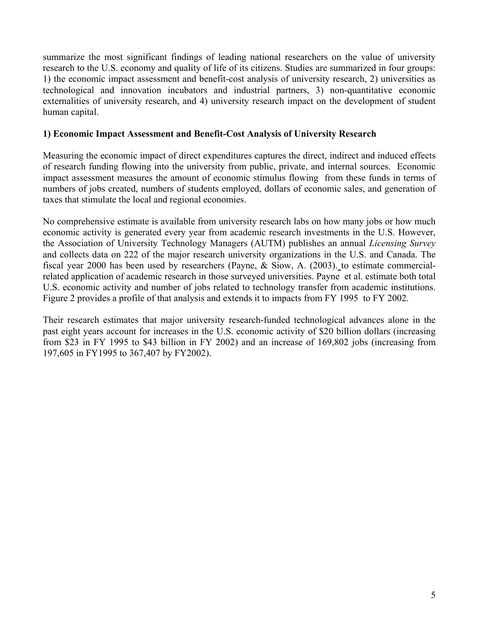<span id="page-4-0"></span>summarize the most significant findings of leading national researchers on the value of university research to the U.S. economy and quality of life of its citizens. Studies are summarized in four groups: 1) the economic impact assessment and benefit-cost analysis of university research, 2) universities as technological and innovation incubators and industrial partners, 3) non-quantitative economic externalities of university research, and 4) university research impact on the development of student human capital.

## **1) Economic Impact Assessment and Benefit-Cost Analysis of University Research**

Measuring the economic impact of direct expenditures captures the direct, indirect and induced effects of research funding flowing into the university from public, private, and internal sources. Economic impact assessment measures the amount of economic stimulus flowing from these funds in terms of numbers of jobs created, numbers of students employed, dollars of economic sales, and generation of taxes that stimulate the local and regional economies.

No comprehensive estimate is available from university research labs on how many jobs or how much economic activity is generated every year from academic research investments in the U.S. However, the Association of University Technology Managers (AUTM) publishes an annual *Licensing Survey*  and collects data on 222 of the major research university organizations in the U.S. and Canada. The fiscal year 2000 has been used by researchers (Payne, & Siow, A. (2003). to estimate commercialrelated application of academic research in those surveyed universities. Payne et al. estimate both total U.S. economic activity and number of jobs related to technology transfer from academic institutions. Figure 2 provides a profile of that analysis and extends it to impacts from FY 1995 to FY 2002.

Their research estimates that major university research-funded technological advances alone in the past eight years account for increases in the U.S. economic activity of \$20 billion dollars (increasing from \$23 in FY 1995 to \$43 billion in FY 2002) and an increase of 169,802 jobs (increasing from 197,605 in FY1995 to 367,407 by FY2002).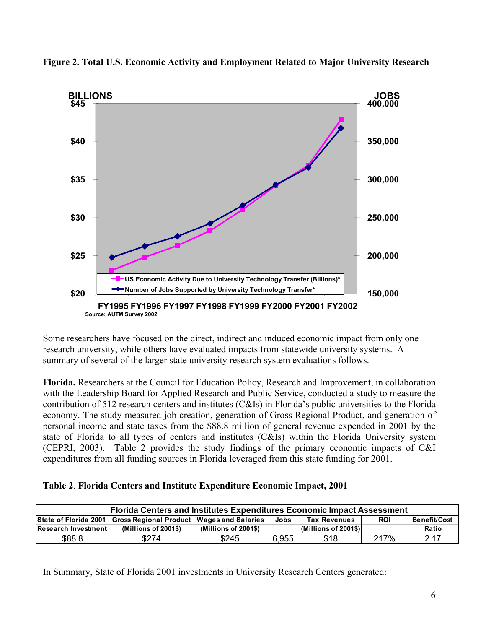

<span id="page-5-0"></span>**Figure 2. Total U.S. Economic Activity and Employment Related to Major University Research** 

Some researchers have focused on the direct, indirect and induced economic impact from only one research university, while others have evaluated impacts from statewide university systems. A summary of several of the larger state university research system evaluations follows.

**Florida.** Researchers at the Council for Education Policy, Research and Improvement, in collaboration with the Leadership Board for Applied Research and Public Service, conducted a study to measure the contribution of 512 research centers and institutes (C&Is) in Florida's public universities to the Florida economy. The study measured job creation, generation of Gross Regional Product, and generation of personal income and state taxes from the \$88.8 million of general revenue expended in 2001 by the state of Florida to all types of centers and institutes (C&Is) within the Florida University system (CEPRI, 2003). Table 2 provides the study findings of the primary economic impacts of C&I expenditures from all funding sources in Florida leveraged from this state funding for 2001.

|  |  | Table 2. Florida Centers and Institute Expenditure Economic Impact, 2001 |  |  |
|--|--|--------------------------------------------------------------------------|--|--|
|  |  |                                                                          |  |  |

| <b>Florida Centers and Institutes Expenditures Economic Impact Assessment</b> |                                                                     |                      |       |                         |            |              |
|-------------------------------------------------------------------------------|---------------------------------------------------------------------|----------------------|-------|-------------------------|------------|--------------|
|                                                                               | State of Florida 2001   Gross Regional Product   Wages and Salaries |                      | Jobs  | <b>Tax Revenues</b>     | <b>ROI</b> | Benefit/Cost |
| lResearch Investmentl                                                         | (Millions of 2001\$)                                                | (Millions of 2001\$) |       | $(Millions of 2001$ \$) |            | Ratio        |
| \$88.8                                                                        | \$274                                                               | \$245                | 6,955 | \$18                    | 217%       | 2.17         |

In Summary, State of Florida 2001 investments in University Research Centers generated: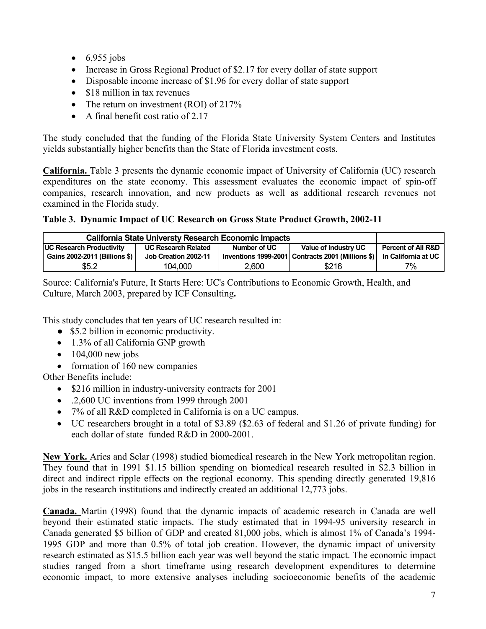- <span id="page-6-0"></span> $\bullet$  6,955 jobs
- Increase in Gross Regional Product of \$2.17 for every dollar of state support
- Disposable income increase of \$1.96 for every dollar of state support
- \$18 million in tax revenues
- The return on investment (ROI) of 217%
- A final benefit cost ratio of 2.17

The study concluded that the funding of the Florida State University System Centers and Institutes yields substantially higher benefits than the State of Florida investment costs.

**California.** Table 3 presents the dynamic economic impact of University of California (UC) research expenditures on the state economy. This assessment evaluates the economic impact of spin-off companies, research innovation, and new products as well as additional research revenues not examined in the Florida study.

# **Table 3. Dynamic Impact of UC Research on Gross State Product Growth, 2002-11**

| <b>California State Universty Research Economic Impacts</b> |                            |              |                                                     |                               |
|-------------------------------------------------------------|----------------------------|--------------|-----------------------------------------------------|-------------------------------|
| <b>UC Research Productivity</b>                             | <b>UC Research Related</b> | Number of UC | Value of Industry UC                                | <b>Percent of All R&amp;D</b> |
| Gains 2002-2011 (Billions \$)                               | Job Creation 2002-11       |              | Inventions 1999-2001   Contracts 2001 (Millions \$) | <b>In California at UC</b>    |
| \$5.2                                                       | 104,000                    | 2,600        | \$216                                               | 7%                            |

Source: California's Future, It Starts Here: UC's Contributions to Economic Growth, Health, and Culture, March 2003, prepared by ICF Consulting**.** 

This study concludes that ten years of UC research resulted in:

- \$5.2 billion in economic productivity.
- 1.3% of all California GNP growth
- $\bullet$  104,000 new jobs
- formation of 160 new companies

Other Benefits include:

- \$216 million in industry-university contracts for 2001
- .2,600 UC inventions from 1999 through 2001
- 7% of all R&D completed in California is on a UC campus.
- UC researchers brought in a total of \$3.89 (\$2.63 of federal and \$1.26 of private funding) for each dollar of state–funded R&D in 2000-2001.

**New York.** Aries and Sclar (1998) studied biomedical research in the New York metropolitan region. They found that in 1991 \$1.15 billion spending on biomedical research resulted in \$2.3 billion in direct and indirect ripple effects on the regional economy. This spending directly generated 19,816 jobs in the research institutions and indirectly created an additional 12,773 jobs.

**Canada.** Martin (1998) found that the dynamic impacts of academic research in Canada are well beyond their estimated static impacts. The study estimated that in 1994-95 university research in Canada generated \$5 billion of GDP and created 81,000 jobs, which is almost 1% of Canada's 1994- 1995 GDP and more than 0.5% of total job creation. However, the dynamic impact of university research estimated as \$15.5 billion each year was well beyond the static impact. The economic impact studies ranged from a short timeframe using research development expenditures to determine economic impact, to more extensive analyses including socioeconomic benefits of the academic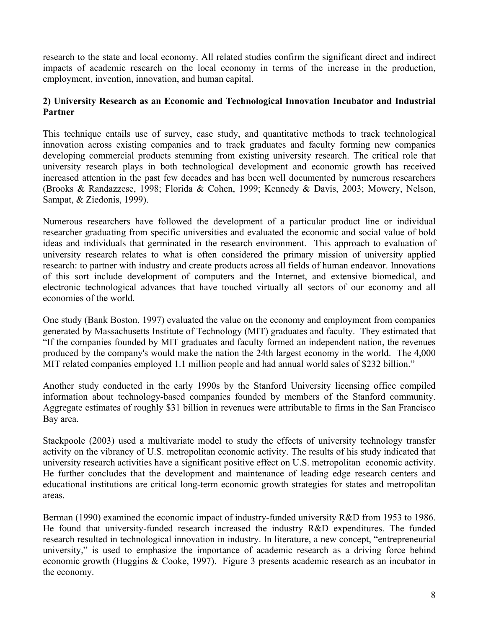<span id="page-7-0"></span>research to the state and local economy. All related studies confirm the significant direct and indirect impacts of academic research on the local economy in terms of the increase in the production, employment, invention, innovation, and human capital.

# **2) University Research as an Economic and Technological Innovation Incubator and Industrial Partner**

This technique entails use of survey, case study, and quantitative methods to track technological innovation across existing companies and to track graduates and faculty forming new companies developing commercial products stemming from existing university research. The critical role that university research plays in both technological development and economic growth has received increased attention in the past few decades and has been well documented by numerous researchers (Brooks & Randazzese, 1998; Florida & Cohen, 1999; Kennedy & Davis, 2003; Mowery, Nelson, Sampat, & Ziedonis, 1999).

Numerous researchers have followed the development of a particular product line or individual researcher graduating from specific universities and evaluated the economic and social value of bold ideas and individuals that germinated in the research environment. This approach to evaluation of university research relates to what is often considered the primary mission of university applied research: to partner with industry and create products across all fields of human endeavor. Innovations of this sort include development of computers and the Internet, and extensive biomedical, and electronic technological advances that have touched virtually all sectors of our economy and all economies of the world.

One study (Bank Boston, 1997) evaluated the value on the economy and employment from companies generated by Massachusetts Institute of Technology (MIT) graduates and faculty. They estimated that "If the companies founded by MIT graduates and faculty formed an independent nation, the revenues produced by the company's would make the nation the 24th largest economy in the world. The 4,000 MIT related companies employed 1.1 million people and had annual world sales of \$232 billion."

Another study conducted in the early 1990s by the Stanford University licensing office compiled information about technology-based companies founded by members of the Stanford community. Aggregate estimates of roughly \$31 billion in revenues were attributable to firms in the San Francisco Bay area.

Stackpoole (2003) used a multivariate model to study the effects of university technology transfer activity on the vibrancy of U.S. metropolitan economic activity. The results of his study indicated that university research activities have a significant positive effect on U.S. metropolitan economic activity. He further concludes that the development and maintenance of leading edge research centers and educational institutions are critical long-term economic growth strategies for states and metropolitan areas.

Berman (1990) examined the economic impact of industry-funded university R&D from 1953 to 1986. He found that university-funded research increased the industry R&D expenditures. The funded research resulted in technological innovation in industry. In literature, a new concept, "entrepreneurial university," is used to emphasize the importance of academic research as a driving force behind economic growth (Huggins & Cooke, 1997). Figure 3 presents academic research as an incubator in the economy.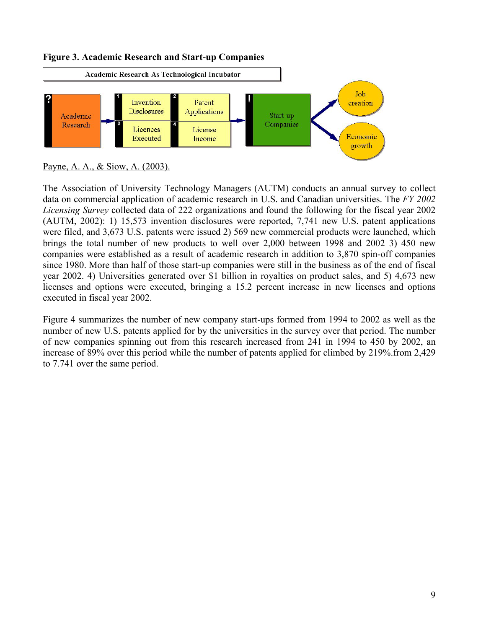

## <span id="page-8-0"></span>**Figure 3. Academic Research and Start-up Companies**

The Association of University Technology Managers (AUTM) conducts an annual survey to collect data on commercial application of academic research in U.S. and Canadian universities. The *FY 2002 Licensing Survey* collected data of 222 organizations and found the following for the fiscal year 2002 (AUTM, 2002): 1) 15,573 invention disclosures were reported, 7,741 new U.S. patent applications were filed, and 3,673 U.S. patents were issued 2) 569 new commercial products were launched, which brings the total number of new products to well over 2,000 between 1998 and 2002 3) 450 new companies were established as a result of academic research in addition to 3,870 spin-off companies since 1980. More than half of those start-up companies were still in the business as of the end of fiscal year 2002. 4) Universities generated over \$1 billion in royalties on product sales, and 5) 4,673 new licenses and options were executed, bringing a 15.2 percent increase in new licenses and options executed in fiscal year 2002.

Figure 4 summarizes the number of new company start-ups formed from 1994 to 2002 as well as the number of new U.S. patents applied for by the universities in the survey over that period. The number of new companies spinning out from this research increased from 241 in 1994 to 450 by 2002, an increase of 89% over this period while the number of patents applied for climbed by 219%.from 2,429 to 7.741 over the same period.

Payne, A. A., & Siow, A. (2003).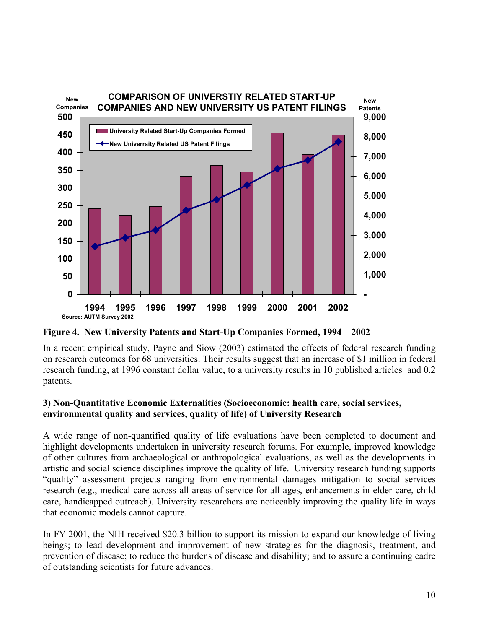<span id="page-9-0"></span>

**Figure 4. New University Patents and Start-Up Companies Formed, 1994 – 2002** 

In a recent empirical study, Payne and Siow (2003) estimated the effects of federal research funding on research outcomes for 68 universities. Their results suggest that an increase of \$1 million in federal research funding, at 1996 constant dollar value, to a university results in 10 published articles and 0.2 patents.

## **3) Non-Quantitative Economic Externalities (Socioeconomic: health care, social services, environmental quality and services, quality of life) of University Research**

A wide range of non-quantified quality of life evaluations have been completed to document and highlight developments undertaken in university research forums. For example, improved knowledge of other cultures from archaeological or anthropological evaluations, as well as the developments in artistic and social science disciplines improve the quality of life. University research funding supports "quality" assessment projects ranging from environmental damages mitigation to social services research (e.g., medical care across all areas of service for all ages, enhancements in elder care, child care, handicapped outreach). University researchers are noticeably improving the quality life in ways that economic models cannot capture.

In FY 2001, the NIH received \$20.3 billion to support its mission to expand our knowledge of living beings; to lead development and improvement of new strategies for the diagnosis, treatment, and prevention of disease; to reduce the burdens of disease and disability; and to assure a continuing cadre of outstanding scientists for future advances.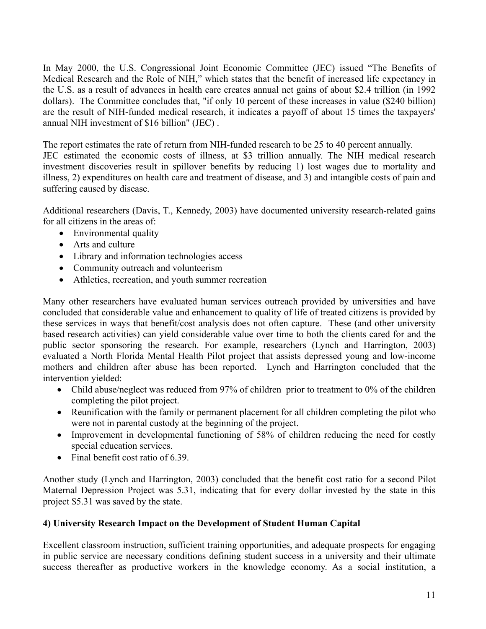<span id="page-10-0"></span>In May 2000, the U.S. Congressional Joint Economic Committee (JEC) issued "The Benefits of Medical Research and the Role of NIH," which states that the benefit of increased life expectancy in the U.S. as a result of advances in health care creates annual net gains of about \$2.4 trillion (in 1992 dollars). The Committee concludes that, "if only 10 percent of these increases in value (\$240 billion) are the result of NIH-funded medical research, it indicates a payoff of about 15 times the taxpayers' annual NIH investment of \$16 billion" (JEC) .

The report estimates the rate of return from NIH-funded research to be 25 to 40 percent annually. JEC estimated the economic costs of illness, at \$3 trillion annually. The NIH medical research investment discoveries result in spillover benefits by reducing 1) lost wages due to mortality and illness, 2) expenditures on health care and treatment of disease, and 3) and intangible costs of pain and suffering caused by disease.

Additional researchers (Davis, T., Kennedy, 2003) have documented university research-related gains for all citizens in the areas of:

- Environmental quality
- Arts and culture
- Library and information technologies access
- Community outreach and volunteerism
- Athletics, recreation, and youth summer recreation

Many other researchers have evaluated human services outreach provided by universities and have concluded that considerable value and enhancement to quality of life of treated citizens is provided by these services in ways that benefit/cost analysis does not often capture. These (and other university based research activities) can yield considerable value over time to both the clients cared for and the public sector sponsoring the research. For example, researchers (Lynch and Harrington, 2003) evaluated a North Florida Mental Health Pilot project that assists depressed young and low-income mothers and children after abuse has been reported. Lynch and Harrington concluded that the intervention yielded:

- Child abuse/neglect was reduced from 97% of children prior to treatment to 0% of the children completing the pilot project.
- Reunification with the family or permanent placement for all children completing the pilot who were not in parental custody at the beginning of the project.
- Improvement in developmental functioning of 58% of children reducing the need for costly special education services.
- Final benefit cost ratio of 6.39.

Another study (Lynch and Harrington, 2003) concluded that the benefit cost ratio for a second Pilot Maternal Depression Project was 5.31, indicating that for every dollar invested by the state in this project \$5.31 was saved by the state.

# **4) University Research Impact on the Development of Student Human Capital**

Excellent classroom instruction, sufficient training opportunities, and adequate prospects for engaging in public service are necessary conditions defining student success in a university and their ultimate success thereafter as productive workers in the knowledge economy. As a social institution, a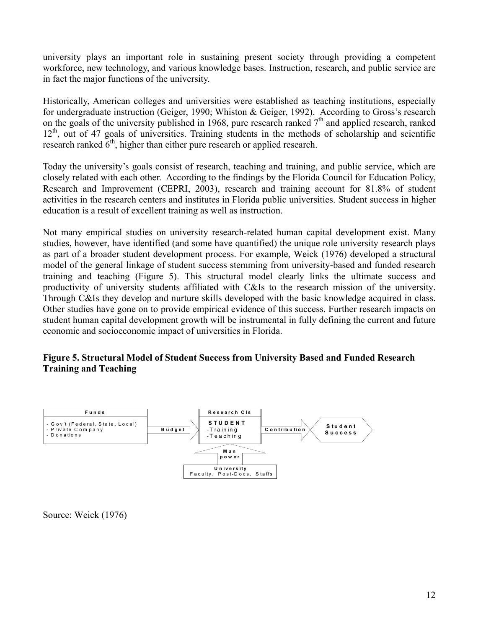<span id="page-11-0"></span>university plays an important role in sustaining present society through providing a competent workforce, new technology, and various knowledge bases. Instruction, research, and public service are in fact the major functions of the university.

Historically, American colleges and universities were established as teaching institutions, especially for undergraduate instruction (Geiger, 1990; Whiston & Geiger, 1992). According to Gross's research on the goals of the university published in 1968, pure research ranked  $7<sup>th</sup>$  and applied research, ranked  $12<sup>th</sup>$ , out of 47 goals of universities. Training students in the methods of scholarship and scientific research ranked  $6<sup>th</sup>$ , higher than either pure research or applied research.

Today the university's goals consist of research, teaching and training, and public service, which are closely related with each other. According to the findings by the Florida Council for Education Policy, Research and Improvement (CEPRI, 2003), research and training account for 81.8% of student activities in the research centers and institutes in Florida public universities. Student success in higher education is a result of excellent training as well as instruction.

Not many empirical studies on university research-related human capital development exist. Many studies, however, have identified (and some have quantified) the unique role university research plays as part of a broader student development process. For example, Weick (1976) developed a structural model of the general linkage of student success stemming from university-based and funded research training and teaching (Figure 5). This structural model clearly links the ultimate success and productivity of university students affiliated with C&Is to the research mission of the university. Through C&Is they develop and nurture skills developed with the basic knowledge acquired in class. Other studies have gone on to provide empirical evidence of this success. Further research impacts on student human capital development growth will be instrumental in fully defining the current and future economic and socioeconomic impact of universities in Florida.

## **Figure 5. Structural Model of Student Success from University Based and Funded Research Training and Teaching**



Source: Weick (1976)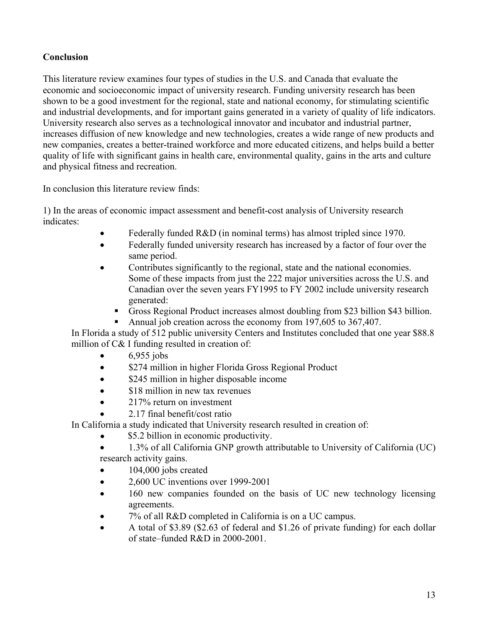# **Conclusion**

This literature review examines four types of studies in the U.S. and Canada that evaluate the economic and socioeconomic impact of university research. Funding university research has been shown to be a good investment for the regional, state and national economy, for stimulating scientific and industrial developments, and for important gains generated in a variety of quality of life indicators. University research also serves as a technological innovator and incubator and industrial partner, increases diffusion of new knowledge and new technologies, creates a wide range of new products and new companies, creates a better-trained workforce and more educated citizens, and helps build a better quality of life with significant gains in health care, environmental quality, gains in the arts and culture and physical fitness and recreation.

In conclusion this literature review finds:

1) In the areas of economic impact assessment and benefit-cost analysis of University research indicates:

- Federally funded R&D (in nominal terms) has almost tripled since 1970.
- Federally funded university research has increased by a factor of four over the same period.
- Contributes significantly to the regional, state and the national economies. Some of these impacts from just the 222 major universities across the U.S. and Canadian over the seven years FY1995 to FY 2002 include university research generated:
	- Gross Regional Product increases almost doubling from \$23 billion \$43 billion.
	- Annual job creation across the economy from 197,605 to 367,407.

In Florida a study of 512 public university Centers and Institutes concluded that one year \$88.8 million of C& I funding resulted in creation of:

- 6,955 jobs
- \$274 million in higher Florida Gross Regional Product
- \$245 million in higher disposable income
- \$18 million in new tax revenues
- 217% return on investment
- 2.17 final benefit/cost ratio

In California a study indicated that University research resulted in creation of:

- \$5.2 billion in economic productivity.
- 1.3% of all California GNP growth attributable to University of California (UC) research activity gains.
- 104,000 jobs created
- 2,600 UC inventions over 1999-2001
- 160 new companies founded on the basis of UC new technology licensing agreements.
- 7% of all R&D completed in California is on a UC campus.
- A total of \$3.89 (\$2.63 of federal and \$1.26 of private funding) for each dollar of state–funded R&D in 2000-2001.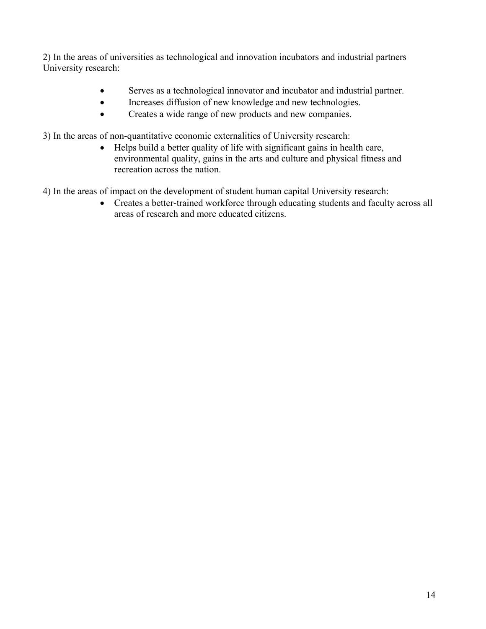2) In the areas of universities as technological and innovation incubators and industrial partners University research:

- Serves as a technological innovator and incubator and industrial partner.
- Increases diffusion of new knowledge and new technologies.
- Creates a wide range of new products and new companies.

3) In the areas of non-quantitative economic externalities of University research:

• Helps build a better quality of life with significant gains in health care, environmental quality, gains in the arts and culture and physical fitness and recreation across the nation.

4) In the areas of impact on the development of student human capital University research:

• Creates a better-trained workforce through educating students and faculty across all areas of research and more educated citizens.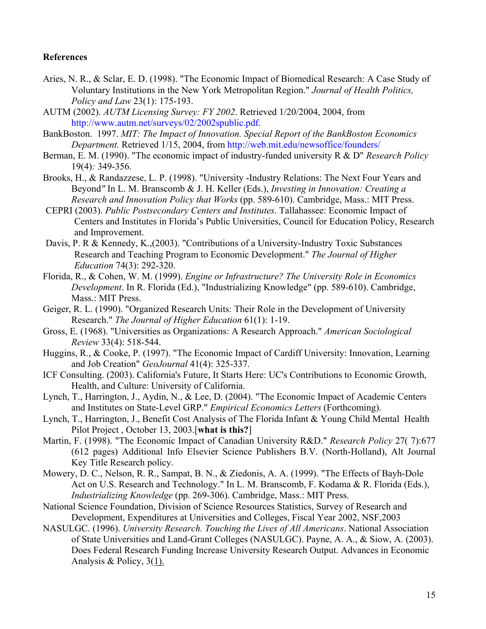#### <span id="page-14-0"></span>**References**

- Aries, N. R., & Sclar, E. D. (1998). "The Economic Impact of Biomedical Research: A Case Study of Voluntary Institutions in the New York Metropolitan Region." *Journal of Health Politics, Policy and Law* 23(1): 175-193.
- AUTM (2002). *AUTM Licensing Survey: FY 2002*. Retrieved 1/20/2004, 2004, from [http://www.autm.net/surveys/02/2002spublic.pdf.](http://www.autm.net/surveys/02/2002spublic.pdf)
- BankBoston. 1997. *MIT: The Impact of Innovation. Special Report of the BankBoston Economics Department.* Retrieved 1/15, 2004, from <http://web.mit.edu/newsoffice/founders/>
- Berman, E. M. (1990). "The economic impact of industry-funded university R & D" *Research Policy*  19(4)*:* 349-356.
- Brooks, H., & Randazzese, L. P. (1998). "University -Industry Relations: The Next Four Years and Beyond*"* In L. M. Branscomb & J. H. Keller (Eds.), *Investing in Innovation: Creating a Research and Innovation Policy that Works* (pp. 589-610). Cambridge, Mass.: MIT Press.
- CEPRI (2003). *Public Postsecondary Centers and Institutes*. Tallahassee: Economic Impact of Centers and Institutes in Florida's Public Universities, Council for Education Policy, Research and Improvement.
- Davis, P. R & Kennedy, K.,(2003). "Contributions of a University-Industry Toxic Substances Research and Teaching Program to Economic Development." *The Journal of Higher Education* 74(3): 292-320.
- Florida, R., & Cohen, W. M. (1999). *Engine or Infrastructure? The University Role in Economics Development*. In R. Florida (Ed.), "Industrializing Knowledge" (pp. 589-610). Cambridge, Mass.: MIT Press.
- Geiger, R. L. (1990). "Organized Research Units: Their Role in the Development of University Research." *The Journal of Higher Education* 61(1): 1-19.
- Gross, E. (1968). "Universities as Organizations: A Research Approach." *American Sociological Review* 33(4): 518-544.
- Huggins, R., & Cooke, P. (1997). "The Economic Impact of Cardiff University: Innovation, Learning and Job Creation" *GeoJournal* 41(4): 325-337.
- ICF Consulting. (2003). California's Future, It Starts Here: UC's Contributions to Economic Growth, Health, and Culture: University of California.
- Lynch, T., Harrington, J., Aydin, N., & Lee, D. (2004). "The Economic Impact of Academic Centers and Institutes on State-Level GRP." *Empirical Economics Letters* (Forthcoming).
- Lynch, T., Harrington, J., Benefit Cost Analysis of The Florida Infant & Young Child Mental Health Pilot Project , October 13, 2003.[**what is this?**]
- Martin, F. (1998). "The Economic Impact of Canadian University R&D." *Research Policy* 27( 7):677 (612 pages) Additional Info Elsevier Science Publishers B.V. (North-Holland), Alt Journal Key Title Research policy.
- Mowery, D. C., Nelson, R. R., Sampat, B. N., & Ziedonis, A. A. (1999). "The Effects of Bayh-Dole Act on U.S. Research and Technology." In L. M. Branscomb, F. Kodama & R. Florida (Eds.), *Industrializing Knowledge* (pp. 269-306). Cambridge, Mass.: MIT Press.
- National Science Foundation, Division of Science Resources Statistics, Survey of Research and Development, Expenditures at Universities and Colleges, Fiscal Year 2002, NSF,2003
- NASULGC. (1996). *University Research. Touching the Lives of All Americans*. National Association of State Universities and Land-Grant Colleges (NASULGC). Payne, A. A., & Siow, A. (2003). Does Federal Research Funding Increase University Research Output. Advances in Economic Analysis & Policy, 3(1).